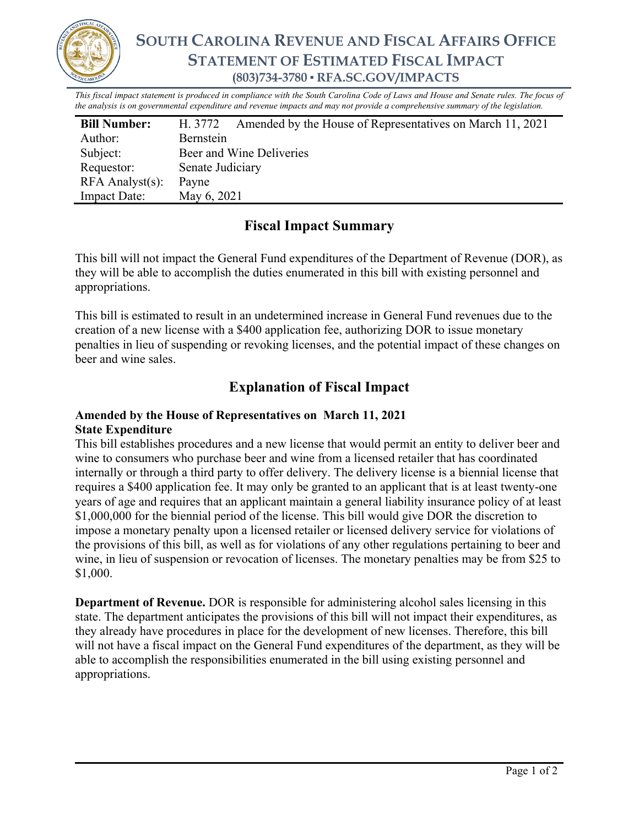

*This fiscal impact statement is produced in compliance with the South Carolina Code of Laws and House and Senate rules. The focus of the analysis is on governmental expenditure and revenue impacts and may not provide a comprehensive summary of the legislation.*

| <b>Bill Number:</b>   | Amended by the House of Representatives on March 11, 2021<br>H. 3772 |
|-----------------------|----------------------------------------------------------------------|
| Author:               | Bernstein                                                            |
| Subject:              | Beer and Wine Deliveries                                             |
| Requestor:            | Senate Judiciary                                                     |
| $RFA$ Analyst $(s)$ : | Payne                                                                |
| <b>Impact Date:</b>   | May 6, 2021                                                          |

# **Fiscal Impact Summary**

This bill will not impact the General Fund expenditures of the Department of Revenue (DOR), as they will be able to accomplish the duties enumerated in this bill with existing personnel and appropriations.

This bill is estimated to result in an undetermined increase in General Fund revenues due to the creation of a new license with a \$400 application fee, authorizing DOR to issue monetary penalties in lieu of suspending or revoking licenses, and the potential impact of these changes on beer and wine sales.

## **Explanation of Fiscal Impact**

## **Amended by the House of Representatives on March 11, 2021 State Expenditure**

This bill establishes procedures and a new license that would permit an entity to deliver beer and wine to consumers who purchase beer and wine from a licensed retailer that has coordinated internally or through a third party to offer delivery. The delivery license is a biennial license that requires a \$400 application fee. It may only be granted to an applicant that is at least twenty-one years of age and requires that an applicant maintain a general liability insurance policy of at least \$1,000,000 for the biennial period of the license. This bill would give DOR the discretion to impose a monetary penalty upon a licensed retailer or licensed delivery service for violations of the provisions of this bill, as well as for violations of any other regulations pertaining to beer and wine, in lieu of suspension or revocation of licenses. The monetary penalties may be from \$25 to \$1,000.

**Department of Revenue.** DOR is responsible for administering alcohol sales licensing in this state. The department anticipates the provisions of this bill will not impact their expenditures, as they already have procedures in place for the development of new licenses. Therefore, this bill will not have a fiscal impact on the General Fund expenditures of the department, as they will be able to accomplish the responsibilities enumerated in the bill using existing personnel and appropriations.